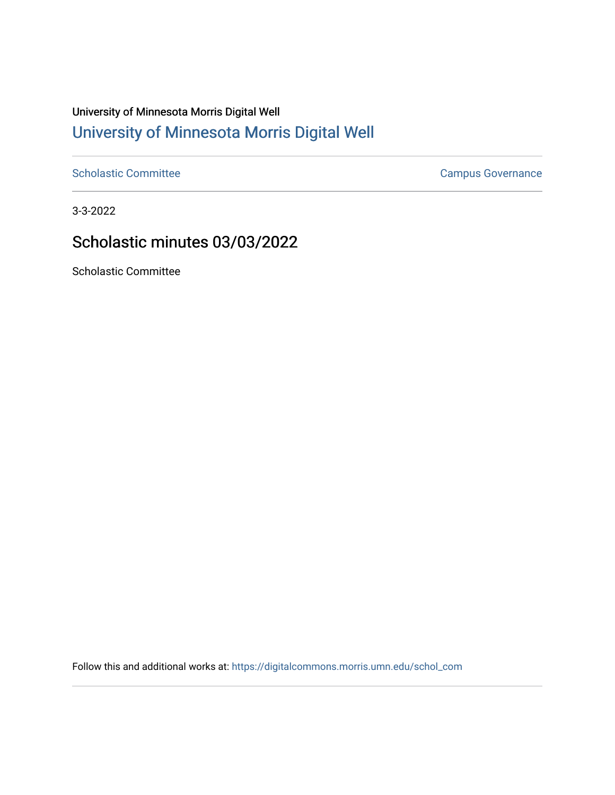## University of Minnesota Morris Digital Well [University of Minnesota Morris Digital Well](https://digitalcommons.morris.umn.edu/)

[Scholastic Committee](https://digitalcommons.morris.umn.edu/schol_com) [Campus Governance](https://digitalcommons.morris.umn.edu/campgov) Campus Governance

3-3-2022

## Scholastic minutes 03/03/2022

Scholastic Committee

Follow this and additional works at: [https://digitalcommons.morris.umn.edu/schol\\_com](https://digitalcommons.morris.umn.edu/schol_com?utm_source=digitalcommons.morris.umn.edu%2Fschol_com%2F355&utm_medium=PDF&utm_campaign=PDFCoverPages)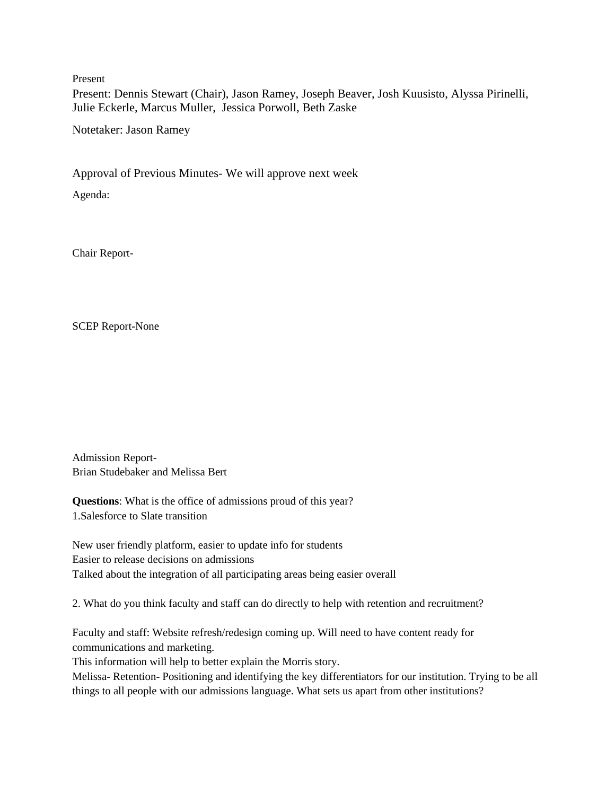Present

Present: Dennis Stewart (Chair), Jason Ramey, Joseph Beaver, Josh Kuusisto, Alyssa Pirinelli, Julie Eckerle, Marcus Muller, Jessica Porwoll, Beth Zaske

Notetaker: Jason Ramey

Approval of Previous Minutes- We will approve next week

Agenda:

Chair Report-

SCEP Report-None

Admission Report-Brian Studebaker and Melissa Bert

**Questions**: What is the office of admissions proud of this year? 1.Salesforce to Slate transition

New user friendly platform, easier to update info for students Easier to release decisions on admissions Talked about the integration of all participating areas being easier overall

2. What do you think faculty and staff can do directly to help with retention and recruitment?

Faculty and staff: Website refresh/redesign coming up. Will need to have content ready for communications and marketing.

This information will help to better explain the Morris story.

Melissa- Retention- Positioning and identifying the key differentiators for our institution. Trying to be all things to all people with our admissions language. What sets us apart from other institutions?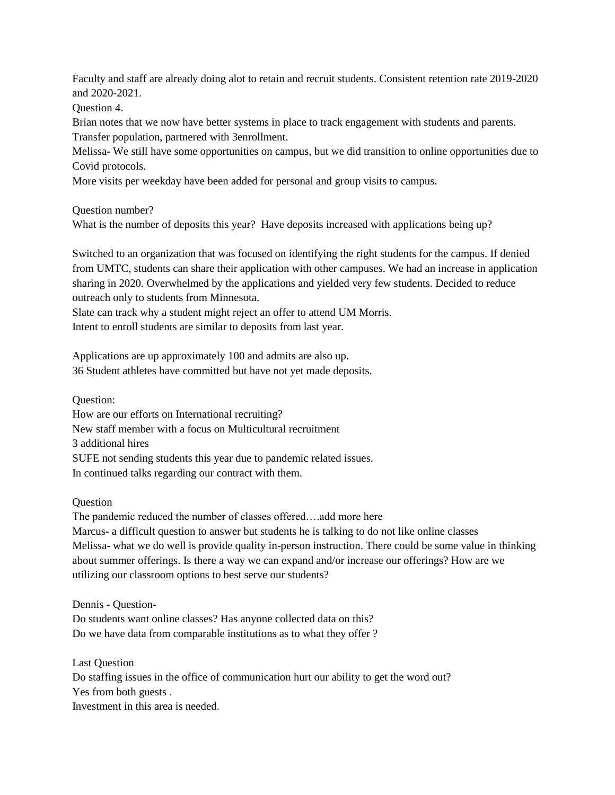Faculty and staff are already doing alot to retain and recruit students. Consistent retention rate 2019-2020 and 2020-2021.

Question 4.

Brian notes that we now have better systems in place to track engagement with students and parents. Transfer population, partnered with 3enrollment.

Melissa- We still have some opportunities on campus, but we did transition to online opportunities due to Covid protocols.

More visits per weekday have been added for personal and group visits to campus.

Question number?

What is the number of deposits this year? Have deposits increased with applications being up?

Switched to an organization that was focused on identifying the right students for the campus. If denied from UMTC, students can share their application with other campuses. We had an increase in application sharing in 2020. Overwhelmed by the applications and yielded very few students. Decided to reduce outreach only to students from Minnesota.

Slate can track why a student might reject an offer to attend UM Morris. Intent to enroll students are similar to deposits from last year.

Applications are up approximately 100 and admits are also up. 36 Student athletes have committed but have not yet made deposits.

Question:

How are our efforts on International recruiting? New staff member with a focus on Multicultural recruitment 3 additional hires SUFE not sending students this year due to pandemic related issues. In continued talks regarding our contract with them.

**Question** 

The pandemic reduced the number of classes offered….add more here

Marcus- a difficult question to answer but students he is talking to do not like online classes Melissa- what we do well is provide quality in-person instruction. There could be some value in thinking about summer offerings. Is there a way we can expand and/or increase our offerings? How are we utilizing our classroom options to best serve our students?

Dennis - Question-

Do students want online classes? Has anyone collected data on this? Do we have data from comparable institutions as to what they offer ?

Last Question Do staffing issues in the office of communication hurt our ability to get the word out? Yes from both guests . Investment in this area is needed.